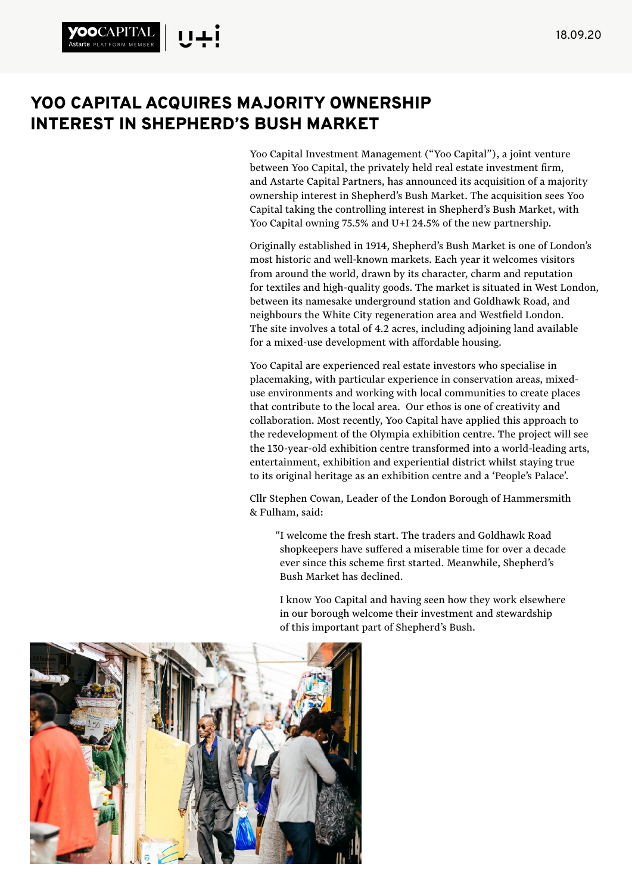## YOO CAPITAL ACQUIRES MAJORITY OWNERSHIP INTEREST IN SHEPHERD'S BUSH MARKET

**starte** PLATFORM MEMBER

Yoo Capital Investment Management ("Yoo Capital"), a joint venture between Yoo Capital, the privately held real estate investment firm, and Astarte Capital Partners, has announced its acquisition of a majority ownership interest in Shepherd's Bush Market. The acquisition sees Yoo Capital taking the controlling interest in Shepherd's Bush Market, with Yoo Capital owning 75.5% and U+I 24.5% of the new partnership.

Originally established in 1914, Shepherd's Bush Market is one of London's most historic and well-known markets. Each year it welcomes visitors from around the world, drawn by its character, charm and reputation for textiles and high-quality goods. The market is situated in West London, between its namesake underground station and Goldhawk Road, and neighbours the White City regeneration area and Westfield London. The site involves a total of 4.2 acres, including adjoining land available for a mixed-use development with affordable housing.

Yoo Capital are experienced real estate investors who specialise in placemaking, with particular experience in conservation areas, mixeduse environments and working with local communities to create places that contribute to the local area. Our ethos is one of creativity and collaboration. Most recently, Yoo Capital have applied this approach to the redevelopment of the Olympia exhibition centre. The project will see the 130-year-old exhibition centre transformed into a world-leading arts, entertainment, exhibition and experiential district whilst staying true to its original heritage as an exhibition centre and a 'People's Palace'.

Cllr Stephen Cowan, Leader of the London Borough of Hammersmith & Fulham, said:

"I welcome the fresh start. The traders and Goldhawk Road shopkeepers have suffered a miserable time for over a decade ever since this scheme first started. Meanwhile, Shepherd's Bush Market has declined.

I know Yoo Capital and having seen how they work elsewhere in our borough welcome their investment and stewardship of this important part of Shepherd's Bush.